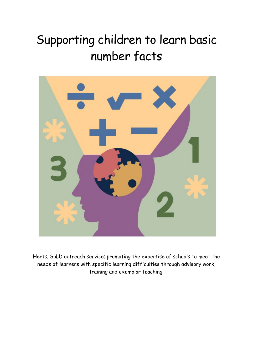## Supporting children to learn basic number facts



Herts. SpLD outreach service; promoting the expertise of schools to meet the needs of learners with specific learning difficulties through advisory work, training and exemplar teaching.